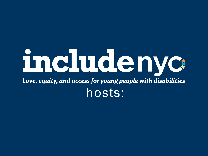# includenyc: Love, equity, and access for young people with disabilities hosts: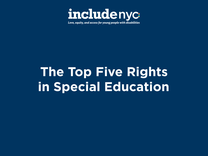

# **The Top Five Rights in Special Education**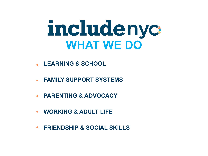# includenyc **WHAT WE DO**

- **LEARNING & SCHOOL**
- **FAMILY SUPPORT SYSTEMS**
- **PARENTING & ADVOCACY**
- **WORKING & ADULT LIFE**
- **FRIENDSHIP & SOCIAL SKILLS**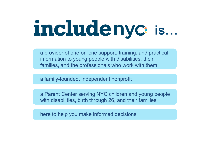# includenyc<sub>is...</sub>

a provider of one-on-one support, training, and practical information to young people with disabilities, their families, and the professionals who work with them.

a family-founded, independent nonprofit

a Parent Center serving NYC children and young people with disabilities, birth through 26, and their families

here to help you make informed decisions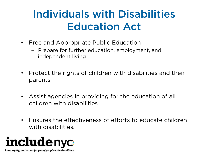### Individuals with Disabilities Education Act

- Free and Appropriate Public Education
	- Prepare for further education, employment, and independent living
- Protect the rights of children with disabilities and their parents
- Assist agencies in providing for the education of all children with disabilities
- Ensures the effectiveness of efforts to educate children with disabilities.

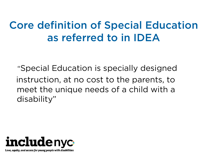### Core definition of Special Education as referred to in IDEA

 "Special Education is specially designed instruction, at no cost to the parents, to meet the unique needs of a child with a disability"

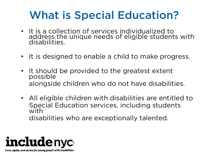### What is Special Education?

- It is a collection of services individualized to address the unique needs of eligible students with disabilities.
- It is designed to enable a child to make progress.
- It should be provided to the greatest extent possible alongside children who do not have disabilities.
- All eligible children with disabilities are entitled to Special Education services, including students with disabilities who are exceptionally talented.

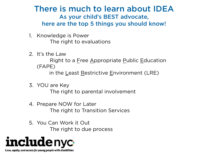#### There is much to learn about IDEA As your child's BEST advocate, here are the top 5 things you should know!

- 1. Knowledge is Power The right to evaluations
- 2. It's the Law

 Right to a Free Appropriate Public Education (FAPE)

in the Least Restrictive Environment (LRE)

- 3. YOU are Key The right to parental involvement
- 4. Prepare NOW for Later The right to Transition Services
- 5. You Can Work it Out The right to due process

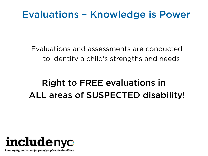#### Evaluations – Knowledge is Power

 Evaluations and assessments are conducted to identify a child's strengths and needs

#### Right to FREE evaluations in ALL areas of SUSPECTED disability!

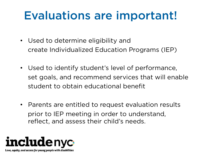### Evaluations are important!

- Used to determine eligibility and create Individualized Education Programs (IEP)
- Used to identify student's level of performance, set goals, and recommend services that will enable student to obtain educational benefit
- Parents are entitled to request evaluation results prior to IEP meeting in order to understand, reflect, and assess their child's needs.

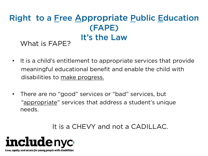### Right to a Free Appropriate Public Education (FAPE) What is FAPE? It's the Law

- It is a child's entitlement to appropriate services that provide meaningful educational benefit and enable the child with disabilities to make progress.
- There are no "good" services or "bad" services, but "appropriate" services that address a student's unique needs.

#### It is a CHEVY and not a CADILLAC.

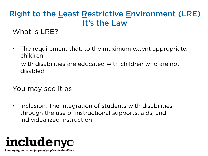#### Right to the Least Restrictive Environment (LRE) It's the Law

What is LRE?

• The requirement that, to the maximum extent appropriate, children

 with disabilities are educated with children who are not disabled

You may see it as

• Inclusion: The integration of students with disabilities through the use of instructional supports, aids, and individualized instruction

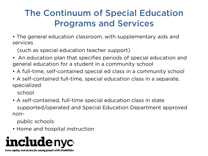#### The Continuum of Special Education Programs and Services

• The general education classroom, with supplementary aids and services

(such as special education teacher support)

- An education plan that specifies periods of special education and general education for a student in a community school
- A full-time, self-contained special ed class in a community school
- A self-contained full-time, special education class in a separate, specialized

school

• A self-contained, full-time special education class in state supported/operated and Special Education Department approved non-

public schools

• Home and hospital instruction

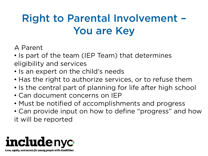### Right to Parental Involvement – You are Key

#### A Parent

- Is part of the team (IEP Team) that determines eligibility and services
- Is an expert on the child's needs
- Has the right to authorize services, or to refuse them
- Is the central part of planning for life after high school
- Can document concerns on IEP
- Must be notified of accomplishments and progress
- Can provide input on how to define "progress" and how it will be reported

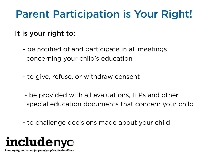### Parent Participation is Your Right!

#### It is your right to:

- be notified of and participate in all meetings concerning your child's education
- to give, refuse, or withdraw consent
- be provided with all evaluations, IEPs and other special education documents that concern your child
- to challenge decisions made about your child

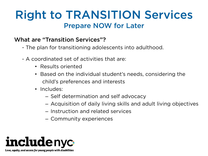#### Right to TRANSITION Services Prepare NOW for Later

#### What are "Transition Services"?

- The plan for transitioning adolescents into adulthood.
- A coordinated set of activities that are:
	- Results oriented
	- Based on the individual student's needs, considering the child's preferences and interests
	- Includes:
		- Self determination and self advocacy
		- Acquisition of daily living skills and adult living objectives
		- Instruction and related services
		- Community experiences

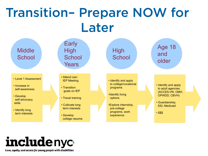## Transition– Prepare NOW for Later



# **includenyc**

Love, equity, and access for young people with disabilities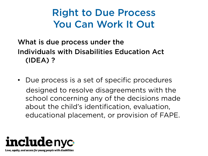### Right to Due Process You Can Work It Out

#### What is due process under the Individuals with Disabilities Education Act (IDEA) ?

• Due process is a set of specific procedures designed to resolve disagreements with the school concerning any of the decisions made about the child's identification, evaluation, educational placement, or provision of FAPE.

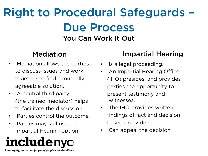### Right to Procedural Safeguards – Due Process You Can Work It Out

#### Mediation

- Mediation allows the parties to discuss issues and work together to find a mutually agreeable solution.
- A neutral third party (the trained mediator) helps to facilitate the discussion.
- Parties control the outcome.
- Parties may still use the Impartial Hearing option.



#### Impartial Hearing

- Is a legal proceeding.
- An Impartial Hearing Officer (IHO) presides, and provides parties the opportunity to present testimony and witnesses.
- The IHO provides written findings of fact and decision based on evidence.
- Can appeal the decision.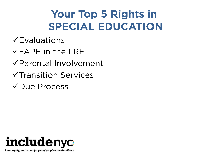### **Your Top 5 Rights in SPECIAL EDUCATION**

- $\checkmark$ Evaluations
- $\checkmark$ FAPE in the LRE
- $\sqrt{P}$ arental Involvement
- $\checkmark$ Transition Services
- $\sqrt{D}$ ue Process

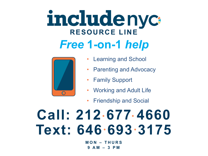# includenyc **RESOURCE LINE**  *Free* **1-on-1** *help*



- Learning and School
- **Parenting and Advocacy**
- **Family Support**
- Working and Adult Life
- Friendship and Social

# **Call: 212 677 4660 Text: 646 693 3175**

**MON – THURS 9 AM – 3 PM**